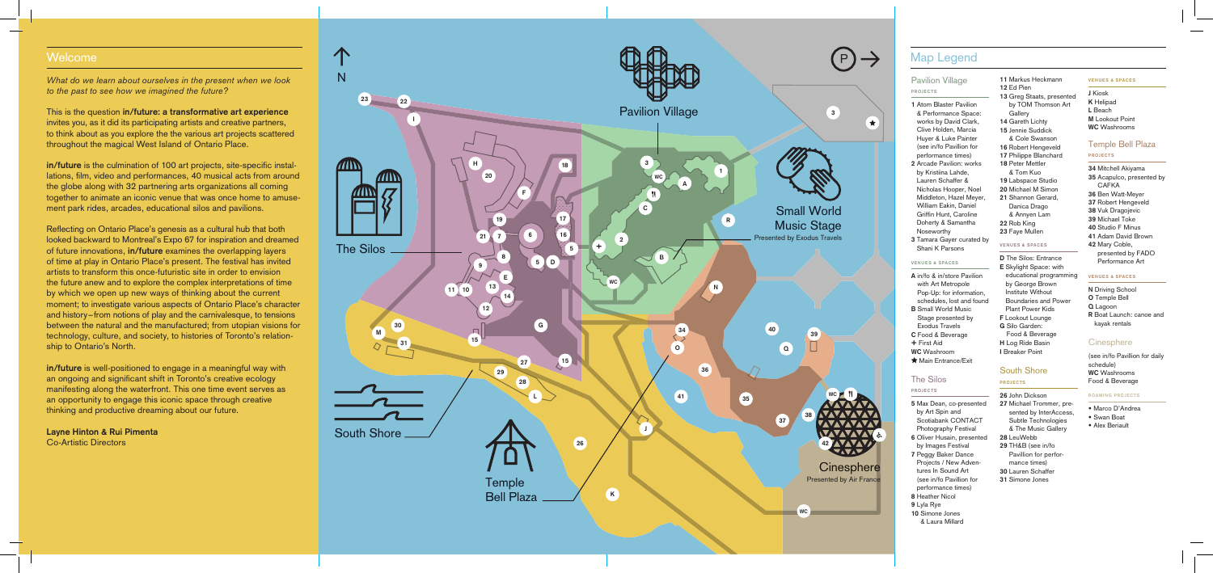*What do we learn about ourselves in the present when we look to the past to see how we imagined the future?* 

**in/future** is the culmination of 100 art projects, site-specific installations, film, video and performances, 40 musical acts from around the globe along with 32 partnering arts organizations all coming together to animate an iconic venue that was once home to amusement park rides, arcades, educational silos and pavilions.

This is the question **in/future: a transformative art experience** invites you, as it did its participating artists and creative partners, to think about as you explore the the various art projects scattered throughout the magical West Island of Ontario Place.

Reflecting on Ontario Place's genesis as a cultural hub that both looked backward to Montreal's Expo 67 for inspiration and dreamed of future innovations, **in/future** examines the overlapping layers of time at play in Ontario Place's present. The festival has invited artists to transform this once-futuristic site in order to envision the future anew and to explore the complex interpretations of time by which we open up new ways of thinking about the current moment; to investigate various aspects of Ontario Place's character and history – from notions of play and the carnivalesque, to tensions between the natural and the manufactured; from utopian visions for technology, culture, and society, to histories of Toronto's relationship to Ontario's North.

- **A** in/fo & in/store Pavilion with Art Metropole Pop-Up: for information, schedules, lost and found
- **B** Small World Music Stage presented by Exodus Travels **C** Food & Beverage
- **+** First Aid **WC** Washroom
- **Main Entrance/Exit**

**in/future** is well-positioned to engage in a meaningful way with an ongoing and significant shift in Toronto's creative ecology manifesting along the waterfront. This one time event serves as an opportunity to engage this iconic space through creative thinking and productive dreaming about our future.

**Layne Hinton & Rui Pimenta** Co-Artistic Directors

# Pavilion Village

### **PROJECTS**



- **1** Atom Blaster Pavilion & Performance Space: works by David Clark, Clive Holden, Marcia Huyer & Luke Painter (see in/fo Pavillion for performance times)
- **2** Arcade Pavilion: works by Kristiina Lahde, Lauren Schaffer & Nicholas Hooper, Noel Middleton, Hazel Meyer, William Eakin, Daniel Griffin Hunt, Caroline Doherty & Samantha Noseworthy
- **3** Tamara Gayer curated by Shani K Parsons

### **VENUES & SPACES**

# The Silos

### **PROJECTS**

- **5** Max Dean, co-presented by Art Spin and Scotiabank CONTACT Photography Festival
- **6** Oliver Husain, presented by Images Festival
- **7** Peggy Baker Dance Projects / New Adventures In Sound Art (see in/fo Pavillion for performance times)
- **8** Heather Nicol
- **9** Lyla Rye
- **10** Simone Jones & Laura Millard
- **11** Markus Heckmann
- **12** Ed Pien
- **13** Greg Staats, presented by TOM Thomson Art **Gallery**
- **14** Gareth Lichty
- **15** Jennie Suddick & Cole Swanson
- **16** Robert Hengeveld
- **17** Philippe Blanchard
- **18** Peter Mettler & Tom Kuo
- **19** Labspace Studio
- **20** Michael M Simon
- **21** Shannon Gerard, Danica Drago
- & Annyen Lam
- **22** Rob King **23** Faye Mullen

## **VENUES & SPACES**

- **D** The Silos: Entrance **E** Skylight Space: with educational programming by George Brown Institute Without Boundaries and Power Plant Power Kids **F** Lookout Lounge **G** Silo Garden:
- Food & Beverage **H** Log Ride Basin **I** Breaker Point

# South Shore

### **PROJECTS**

- **26** John Dickson
- **27** Michael Trommer, presented by InterAccess, Subtle Technologies & The Music Gallery
- **28** LeuWebb
- **29** TH&B (see in/fo mance times) **30** Lauren Schaffer
- 
- 

### **VENUES & SPACES**

**J** Kiosk **K** Helipad **L** Beach **M** Lookout Point **WC** Washrooms

# Temple Bell Plaza

### **PROJECTS**

- **34** Mitchell Akiyama
- **35** Acapulco, presented by CAFKA
- **36** Ben Watt-Meyer
- **37** Robert Hengeveld
- **38** Vuk Dragojevic
- **39** Michael Toke
- **40** Studio F Minus
- **41** Adam David Brown **42** Mary Coble,
- presented by FADO Performance Art

- Marco D'Andrea
- Swan Boat
- Alex Beriault
- 
- Pavillion for perfor-
- **31** Simone Jones

### **VENUES & SPACES**

- **N** Driving School
- **O** Temple Bell
- **Q** Lagoon
- **R** Boat Launch: canoe and kayak rentals

# **Cinesphere**

(see in/fo Pavillion for daily schedule) **WC** Washrooms Food & Beverage

### **ROAMING PROJECTS**